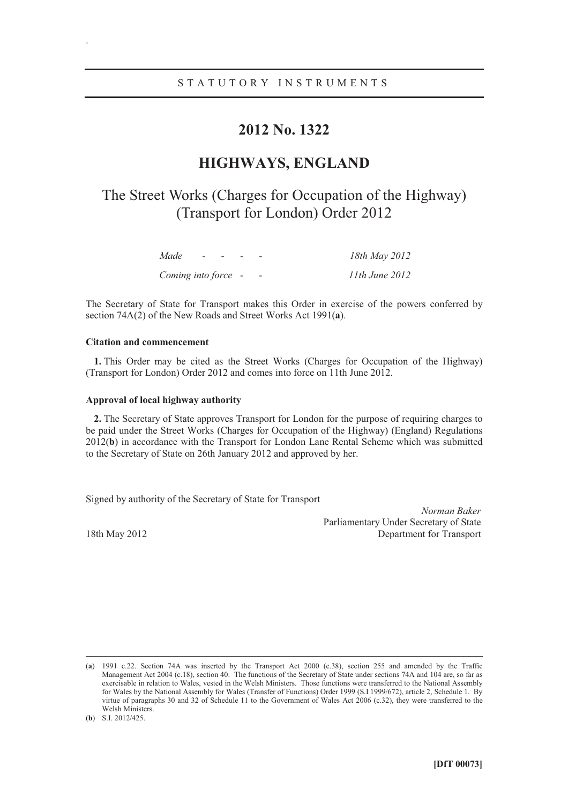### **2012 No. 1322**

## **HIGHWAYS, ENGLAND**

# The Street Works (Charges for Occupation of the Highway) (Transport for London) Order 2012

| Made<br>$\sim$ $\sim$ $\sim$ $\sim$ |  | 18th May 2012      |
|-------------------------------------|--|--------------------|
| Coming into force -                 |  | $11th$ June $2012$ |

The Secretary of State for Transport makes this Order in exercise of the powers conferred by section 74A(2) of the New Roads and Street Works Act 1991(**a**).

#### **Citation and commencement**

.

**1.** This Order may be cited as the Street Works (Charges for Occupation of the Highway) (Transport for London) Order 2012 and comes into force on 11th June 2012.

#### **Approval of local highway authority**

**2.** The Secretary of State approves Transport for London for the purpose of requiring charges to be paid under the Street Works (Charges for Occupation of the Highway) (England) Regulations 2012(**b**) in accordance with the Transport for London Lane Rental Scheme which was submitted to the Secretary of State on 26th January 2012 and approved by her.

Signed by authority of the Secretary of State for Transport

*Norman Baker* Parliamentary Under Secretary of State 18th May 2012 Department for Transport

 <sup>(</sup>**a**) 1991 c.22. Section 74A was inserted by the Transport Act 2000 (c.38), section 255 and amended by the Traffic Management Act 2004 (c.18), section 40. The functions of the Secretary of State under sections 74A and 104 are, so far as exercisable in relation to Wales, vested in the Welsh Ministers. Those functions were transferred to the National Assembly for Wales by the National Assembly for Wales (Transfer of Functions) Order 1999 (S.I 1999/672), article 2, Schedule 1. By virtue of paragraphs 30 and 32 of Schedule 11 to the Government of Wales Act 2006 (c.32), they were transferred to the Welsh Ministers.

<sup>(</sup>**b**) S.I. 2012/425.